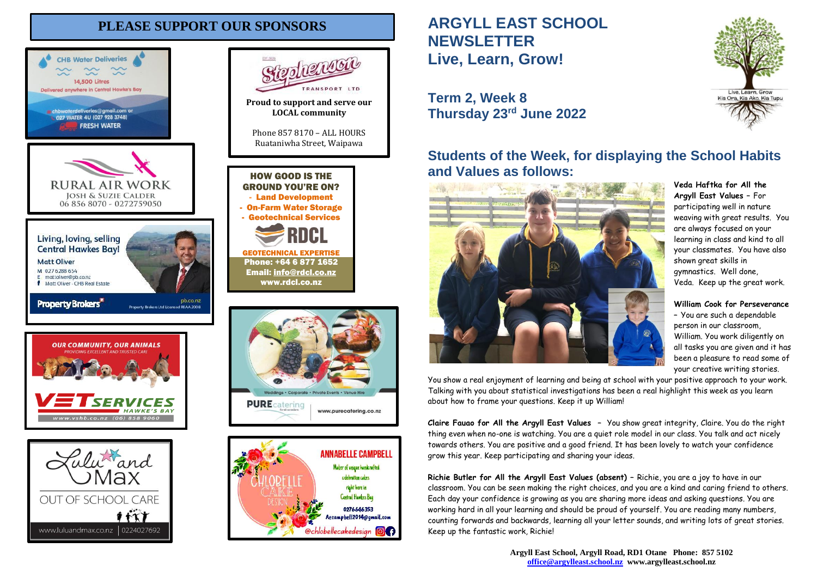# **PLEASE SUPPORT OUR SPONSORS**





L TROSHAS



# **ARGYLL EAST SCHOOL NEWSLETTER Live, Learn, Grow!**

# **Term 2, Week 8 Thursday 23rd June 2022**

# **Students of the Week, for displaying the School Habits and Values as follows:**



**Argyll East Values –** For participating well in nature weaving with great results. You are always focused on your learning in class and kind to all your classmates. You have also shown great skills in gymnastics. Well done, Veda. Keep up the great work.

**Veda Haftka for All the** 

**William Cook for Perseverance**

**–** You are such a dependable person in our classroom, William. You work diligently on all tasks you are given and it has been a pleasure to read some of your creative writing stories.

You show a real enjoyment of learning and being at school with your positive approach to your work. Talking with you about statistical investigations has been a real highlight this week as you learn about how to frame your questions. Keep it up William!

**Claire Fauao for All the Argyll East Values –** You show great integrity, Claire. You do the right thing even when no-one is watching. You are a quiet role model in our class. You talk and act nicely towards others. You are positive and a good friend. It has been lovely to watch your confidence grow this year. Keep participating and sharing your ideas.

**Richie Butler for All the Argyll East Values (absent) –** Richie, you are a joy to have in our classroom. You can be seen making the right choices, and you are a kind and caring friend to others. Each day your confidence is growing as you are sharing more ideas and asking questions. You are working hard in all your learning and should be proud of yourself. You are reading many numbers, counting forwards and backwards, learning all your letter sounds, and writing lots of great stories. Keep up the fantastic work, Richie!